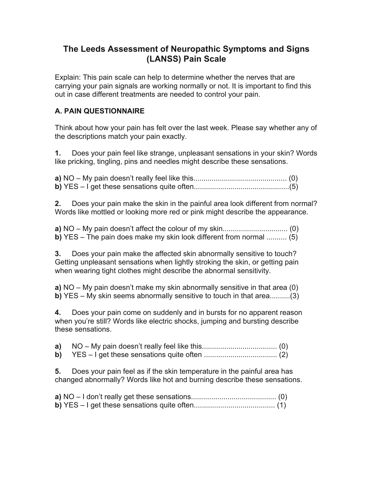# **The Leeds Assessment of Neuropathic Symptoms and Signs (LANSS) Pain Scale**

Explain: This pain scale can help to determine whether the nerves that are carrying your pain signals are working normally or not. It is important to find this out in case different treatments are needed to control your pain.

# **A. PAIN QUESTIONNAIRE**

Think about how your pain has felt over the last week. Please say whether any of the descriptions match your pain exactly.

**1.** Does your pain feel like strange, unpleasant sensations in your skin? Words like pricking, tingling, pins and needles might describe these sensations.

**2.** Does your pain make the skin in the painful area look different from normal? Words like mottled or looking more red or pink might describe the appearance.

**a)** NO – My pain doesn't affect the colour of my skin................................ (0) **b)** YES – The pain does make my skin look different from normal .......... (5)

**3.** Does your pain make the affected skin abnormally sensitive to touch? Getting unpleasant sensations when lightly stroking the skin, or getting pain when wearing tight clothes might describe the abnormal sensitivity.

**a)** NO – My pain doesn't make my skin abnormally sensitive in that area (0) **b)** YES – My skin seems abnormally sensitive to touch in that area..........(3)

**4.** Does your pain come on suddenly and in bursts for no apparent reason when you're still? Words like electric shocks, jumping and bursting describe these sensations.

| a) $NO - My pain doesn't really feel like this(0)$ |  |
|----------------------------------------------------|--|
|                                                    |  |

**5.** Does your pain feel as if the skin temperature in the painful area has changed abnormally? Words like hot and burning describe these sensations.